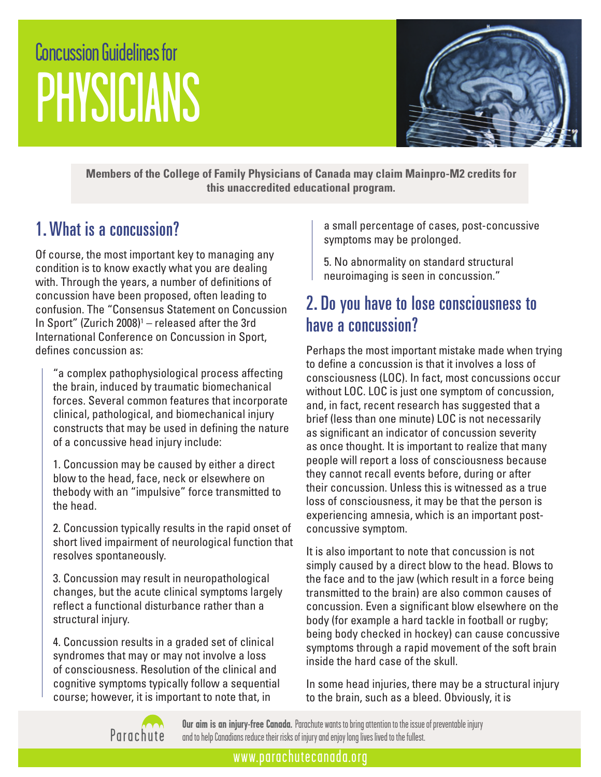# Concussion Guidelines for PHYSICIANS



**Members of the College of Family Physicians of Canada may claim Mainpro-M2 credits for this unaccredited educational program.**

## 1. What is a concussion?

Of course, the most important key to managing any condition is to know exactly what you are dealing with. Through the years, a number of definitions of concussion have been proposed, often leading to confusion. The "Consensus Statement on Concussion In Sport" (Zurich  $2008$ <sup>1</sup> – released after the 3rd International Conference on Concussion in Sport, defines concussion as:

"a complex pathophysiological process affecting the brain, induced by traumatic biomechanical forces. Several common features that incorporate clinical, pathological, and biomechanical injury constructs that may be used in defining the nature of a concussive head injury include:

1. Concussion may be caused by either a direct blow to the head, face, neck or elsewhere on thebody with an "impulsive" force transmitted to the head.

2. Concussion typically results in the rapid onset of short lived impairment of neurological function that resolves spontaneously.

3. Concussion may result in neuropathological changes, but the acute clinical symptoms largely reflect a functional disturbance rather than a structural injury.

4. Concussion results in a graded set of clinical syndromes that may or may not involve a loss of consciousness. Resolution of the clinical and cognitive symptoms typically follow a sequential course; however, it is important to note that, in

a small percentage of cases, post-concussive symptoms may be prolonged.

5. No abnormality on standard structural neuroimaging is seen in concussion."

## 2. Do you have to lose consciousness to have a concussion?

Perhaps the most important mistake made when trying to define a concussion is that it involves a loss of consciousness (LOC). In fact, most concussions occur without LOC. LOC is just one symptom of concussion, and, in fact, recent research has suggested that a brief (less than one minute) LOC is not necessarily as significant an indicator of concussion severity as once thought. It is important to realize that many people will report a loss of consciousness because they cannot recall events before, during or after their concussion. Unless this is witnessed as a true loss of consciousness, it may be that the person is experiencing amnesia, which is an important postconcussive symptom.

It is also important to note that concussion is not simply caused by a direct blow to the head. Blows to the face and to the jaw (which result in a force being transmitted to the brain) are also common causes of concussion. Even a significant blow elsewhere on the body (for example a hard tackle in football or rugby; being body checked in hockey) can cause concussive symptoms through a rapid movement of the soft brain inside the hard case of the skull.

In some head injuries, there may be a structural injury to the brain, such as a bleed. Obviously, it is



**Our aim is an injury-free Canada.** Parachute wants to bring attention to the issue of preventable injury and to help Canadians reduce their risks of injury and enjoy long lives lived to the fullest.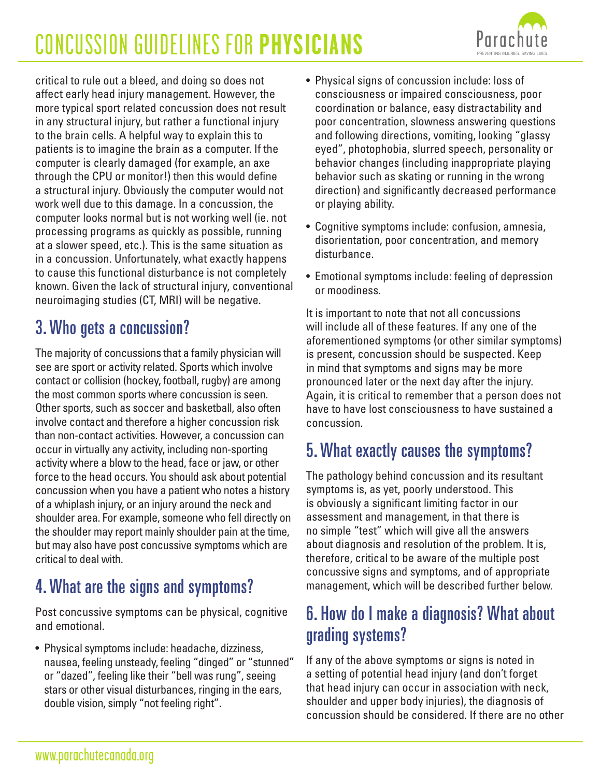

critical to rule out a bleed, and doing so does not affect early head injury management. However, the more typical sport related concussion does not result in any structural injury, but rather a functional injury to the brain cells. A helpful way to explain this to patients is to imagine the brain as a computer. If the computer is clearly damaged (for example, an axe through the CPU or monitor!) then this would define a structural injury. Obviously the computer would not work well due to this damage. In a concussion, the computer looks normal but is not working well (ie. not processing programs as quickly as possible, running at a slower speed, etc.). This is the same situation as in a concussion. Unfortunately, what exactly happens to cause this functional disturbance is not completely known. Given the lack of structural injury, conventional neuroimaging studies (CT, MRI) will be negative.

## 3. Who gets a concussion?

The majority of concussions that a family physician will see are sport or activity related. Sports which involve contact or collision (hockey, football, rugby) are among the most common sports where concussion is seen. Other sports, such as soccer and basketball, also often involve contact and therefore a higher concussion risk than non-contact activities. However, a concussion can occur in virtually any activity, including non-sporting activity where a blow to the head, face or jaw, or other force to the head occurs. You should ask about potential concussion when you have a patient who notes a history of a whiplash injury, or an injury around the neck and shoulder area. For example, someone who fell directly on the shoulder may report mainly shoulder pain at the time, but may also have post concussive symptoms which are critical to deal with.

## 4. What are the signs and symptoms?

Post concussive symptoms can be physical, cognitive and emotional.

• Physical symptoms include: headache, dizziness, nausea, feeling unsteady, feeling "dinged" or "stunned" or "dazed", feeling like their "bell was rung", seeing stars or other visual disturbances, ringing in the ears, double vision, simply "not feeling right".

- Physical signs of concussion include: loss of consciousness or impaired consciousness, poor coordination or balance, easy distractability and poor concentration, slowness answering questions and following directions, vomiting, looking "glassy eyed", photophobia, slurred speech, personality or behavior changes (including inappropriate playing behavior such as skating or running in the wrong direction) and significantly decreased performance or playing ability.
- Cognitive symptoms include: confusion, amnesia, disorientation, poor concentration, and memory disturbance.
- Emotional symptoms include: feeling of depression or moodiness.

It is important to note that not all concussions will include all of these features. If any one of the aforementioned symptoms (or other similar symptoms) is present, concussion should be suspected. Keep in mind that symptoms and signs may be more pronounced later or the next day after the injury. Again, it is critical to remember that a person does not have to have lost consciousness to have sustained a concussion.

## 5. What exactly causes the symptoms?

The pathology behind concussion and its resultant symptoms is, as yet, poorly understood. This is obviously a significant limiting factor in our assessment and management, in that there is no simple "test" which will give all the answers about diagnosis and resolution of the problem. It is, therefore, critical to be aware of the multiple post concussive signs and symptoms, and of appropriate management, which will be described further below.

## 6. How do I make a diagnosis? What about grading systems?

If any of the above symptoms or signs is noted in a setting of potential head injury (and don't forget that head injury can occur in association with neck, shoulder and upper body injuries), the diagnosis of concussion should be considered. If there are no other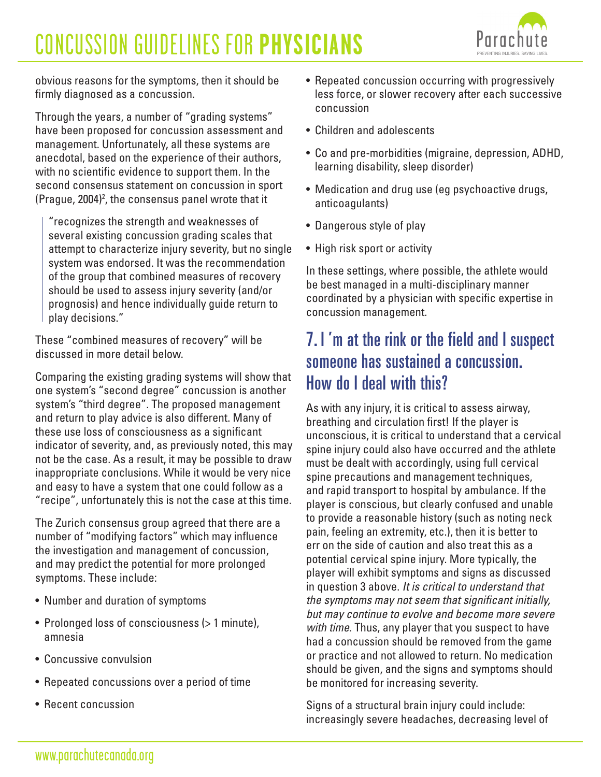

obvious reasons for the symptoms, then it should be firmly diagnosed as a concussion.

Through the years, a number of "grading systems" have been proposed for concussion assessment and management. Unfortunately, all these systems are anecdotal, based on the experience of their authors, with no scientific evidence to support them. In the second consensus statement on concussion in sport (Prague, 2004)2 , the consensus panel wrote that it

"recognizes the strength and weaknesses of several existing concussion grading scales that attempt to characterize injury severity, but no single system was endorsed. It was the recommendation of the group that combined measures of recovery should be used to assess injury severity (and/or prognosis) and hence individually guide return to play decisions."

These "combined measures of recovery" will be discussed in more detail below.

Comparing the existing grading systems will show that one system's "second degree" concussion is another system's "third degree". The proposed management and return to play advice is also different. Many of these use loss of consciousness as a significant indicator of severity, and, as previously noted, this may not be the case. As a result, it may be possible to draw inappropriate conclusions. While it would be very nice and easy to have a system that one could follow as a "recipe", unfortunately this is not the case at this time.

The Zurich consensus group agreed that there are a number of "modifying factors" which may influence the investigation and management of concussion, and may predict the potential for more prolonged symptoms. These include:

- Number and duration of symptoms
- Prolonged loss of consciousness (> 1 minute), amnesia
- Concussive convulsion
- Repeated concussions over a period of time
- Recent concussion
- Repeated concussion occurring with progressively less force, or slower recovery after each successive concussion
- Children and adolescents
- Co and pre-morbidities (migraine, depression, ADHD, learning disability, sleep disorder)
- Medication and drug use (eg psychoactive drugs, anticoagulants)
- Dangerous style of play
- High risk sport or activity

In these settings, where possible, the athlete would be best managed in a multi-disciplinary manner coordinated by a physician with specific expertise in concussion management.

### 7. I 'm at the rink or the field and I suspect someone has sustained a concussion. How do I deal with this?

As with any injury, it is critical to assess airway, breathing and circulation first! If the player is unconscious, it is critical to understand that a cervical spine injury could also have occurred and the athlete must be dealt with accordingly, using full cervical spine precautions and management techniques, and rapid transport to hospital by ambulance. If the player is conscious, but clearly confused and unable to provide a reasonable history (such as noting neck pain, feeling an extremity, etc.), then it is better to err on the side of caution and also treat this as a potential cervical spine injury. More typically, the player will exhibit symptoms and signs as discussed in question 3 above. *It is critical to understand that the symptoms may not seem that significant initially, but may continue to evolve and become more severe with time*. Thus, any player that you suspect to have had a concussion should be removed from the game or practice and not allowed to return. No medication should be given, and the signs and symptoms should be monitored for increasing severity.

Signs of a structural brain injury could include: increasingly severe headaches, decreasing level of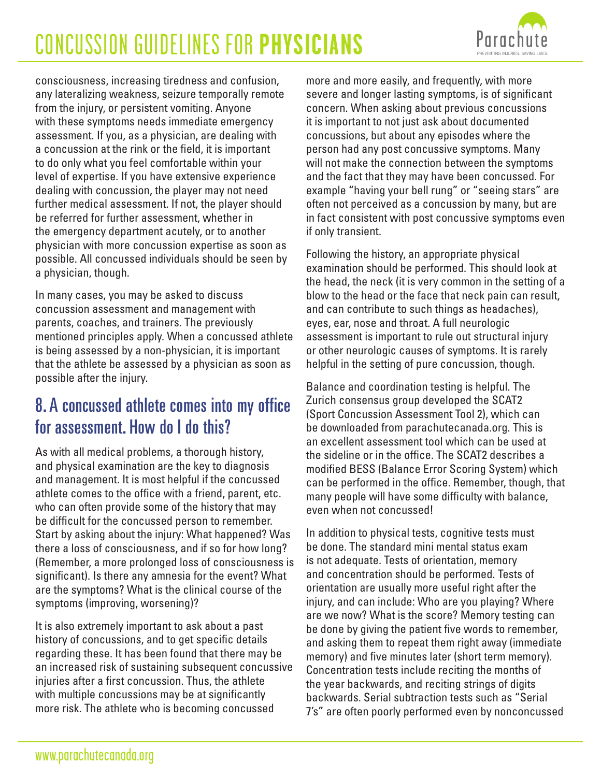

consciousness, increasing tiredness and confusion, any lateralizing weakness, seizure temporally remote from the injury, or persistent vomiting. Anyone with these symptoms needs immediate emergency assessment. If you, as a physician, are dealing with a concussion at the rink or the field, it is important to do only what you feel comfortable within your level of expertise. If you have extensive experience dealing with concussion, the player may not need further medical assessment. If not, the player should be referred for further assessment, whether in the emergency department acutely, or to another physician with more concussion expertise as soon as possible. All concussed individuals should be seen by a physician, though.

In many cases, you may be asked to discuss concussion assessment and management with parents, coaches, and trainers. The previously mentioned principles apply. When a concussed athlete is being assessed by a non-physician, it is important that the athlete be assessed by a physician as soon as possible after the injury.

## 8. A concussed athlete comes into my office for assessment. How do I do this?

As with all medical problems, a thorough history, and physical examination are the key to diagnosis and management. It is most helpful if the concussed athlete comes to the office with a friend, parent, etc. who can often provide some of the history that may be difficult for the concussed person to remember. Start by asking about the injury: What happened? Was there a loss of consciousness, and if so for how long? (Remember, a more prolonged loss of consciousness is significant). Is there any amnesia for the event? What are the symptoms? What is the clinical course of the symptoms (improving, worsening)?

It is also extremely important to ask about a past history of concussions, and to get specific details regarding these. It has been found that there may be an increased risk of sustaining subsequent concussive injuries after a first concussion. Thus, the athlete with multiple concussions may be at significantly more risk. The athlete who is becoming concussed

more and more easily, and frequently, with more severe and longer lasting symptoms, is of significant concern. When asking about previous concussions it is important to not just ask about documented concussions, but about any episodes where the person had any post concussive symptoms. Many will not make the connection between the symptoms and the fact that they may have been concussed. For example "having your bell rung" or "seeing stars" are often not perceived as a concussion by many, but are in fact consistent with post concussive symptoms even if only transient.

Following the history, an appropriate physical examination should be performed. This should look at the head, the neck (it is very common in the setting of a blow to the head or the face that neck pain can result, and can contribute to such things as headaches), eyes, ear, nose and throat. A full neurologic assessment is important to rule out structural injury or other neurologic causes of symptoms. It is rarely helpful in the setting of pure concussion, though.

Balance and coordination testing is helpful. The Zurich consensus group developed the SCAT2 (Sport Concussion Assessment Tool 2), which can be downloaded from parachutecanada.org. This is an excellent assessment tool which can be used at the sideline or in the office. The SCAT2 describes a modified BESS (Balance Error Scoring System) which can be performed in the office. Remember, though, that many people will have some difficulty with balance, even when not concussed!

In addition to physical tests, cognitive tests must be done. The standard mini mental status exam is not adequate. Tests of orientation, memory and concentration should be performed. Tests of orientation are usually more useful right after the injury, and can include: Who are you playing? Where are we now? What is the score? Memory testing can be done by giving the patient five words to remember, and asking them to repeat them right away (immediate memory) and five minutes later (short term memory). Concentration tests include reciting the months of the year backwards, and reciting strings of digits backwards. Serial subtraction tests such as "Serial 7's" are often poorly performed even by nonconcussed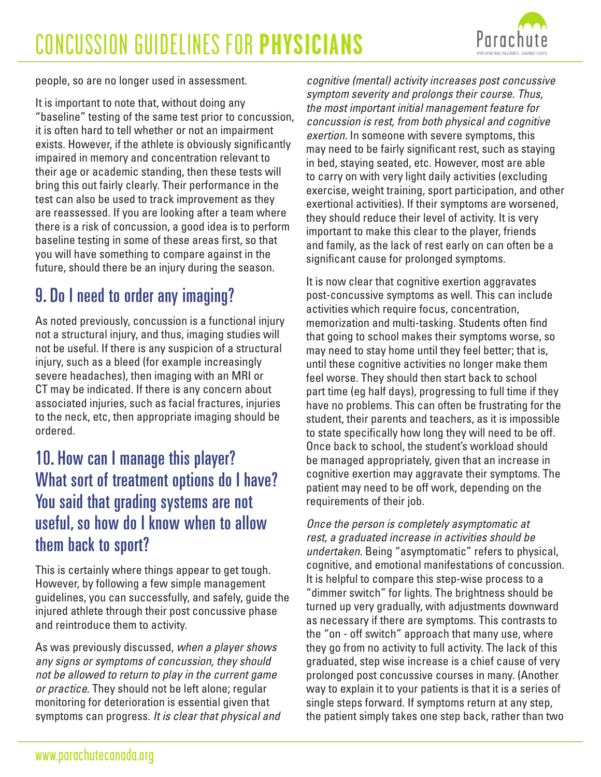

people, so are no longer used in assessment.

It is important to note that, without doing any "baseline" testing of the same test prior to concussion, it is often hard to tell whether or not an impairment exists. However, if the athlete is obviously significantly impaired in memory and concentration relevant to their age or academic standing, then these tests will bring this out fairly clearly. Their performance in the test can also be used to track improvement as they are reassessed. If you are looking after a team where there is a risk of concussion, a good idea is to perform baseline testing in some of these areas first, so that you will have something to compare against in the future, should there be an injury during the season.

## 9. Do I need to order any imaging?

As noted previously, concussion is a functional injury not a structural injury, and thus, imaging studies will not be useful. If there is any suspicion of a structural injury, such as a bleed (for example increasingly severe headaches), then imaging with an MRI or CT may be indicated. If there is any concern about associated injuries, such as facial fractures, injuries to the neck, etc, then appropriate imaging should be ordered.

## 10. How can I manage this player? What sort of treatment options do I have? You said that grading systems are not useful, so how do I know when to allow them back to sport?

This is certainly where things appear to get tough. However, by following a few simple management guidelines, you can successfully, and safely, guide the injured athlete through their post concussive phase and reintroduce them to activity.

As was previously discussed, *when a player shows any signs or symptoms of concussion, they should not be allowed to return to play in the current game or practice*. They should not be left alone; regular monitoring for deterioration is essential given that symptoms can progress. *It is clear that physical and* *cognitive (mental) activity increases post concussive symptom severity and prolongs their course. Thus, the most important initial management feature for concussion is rest, from both physical and cognitive exertion.* In someone with severe symptoms, this may need to be fairly significant rest, such as staying in bed, staying seated, etc. However, most are able to carry on with very light daily activities (excluding exercise, weight training, sport participation, and other exertional activities). If their symptoms are worsened, they should reduce their level of activity. It is very important to make this clear to the player, friends and family, as the lack of rest early on can often be a significant cause for prolonged symptoms.

It is now clear that cognitive exertion aggravates post-concussive symptoms as well. This can include activities which require focus, concentration, memorization and multi-tasking. Students often find that going to school makes their symptoms worse, so may need to stay home until they feel better; that is, until these cognitive activities no longer make them feel worse. They should then start back to school part time (eg half days), progressing to full time if they have no problems. This can often be frustrating for the student, their parents and teachers, as it is impossible to state specifically how long they will need to be off. Once back to school, the student's workload should be managed appropriately, given that an increase in cognitive exertion may aggravate their symptoms. The patient may need to be off work, depending on the requirements of their job.

*Once the person is completely asymptomatic at rest, a graduated increase in activities should be undertaken.* Being "asymptomatic" refers to physical, cognitive, and emotional manifestations of concussion. It is helpful to compare this step-wise process to a "dimmer switch" for lights. The brightness should be turned up very gradually, with adjustments downward as necessary if there are symptoms. This contrasts to the "on - off switch" approach that many use, where they go from no activity to full activity. The lack of this graduated, step wise increase is a chief cause of very prolonged post concussive courses in many. (Another way to explain it to your patients is that it is a series of single steps forward. If symptoms return at any step, the patient simply takes one step back, rather than two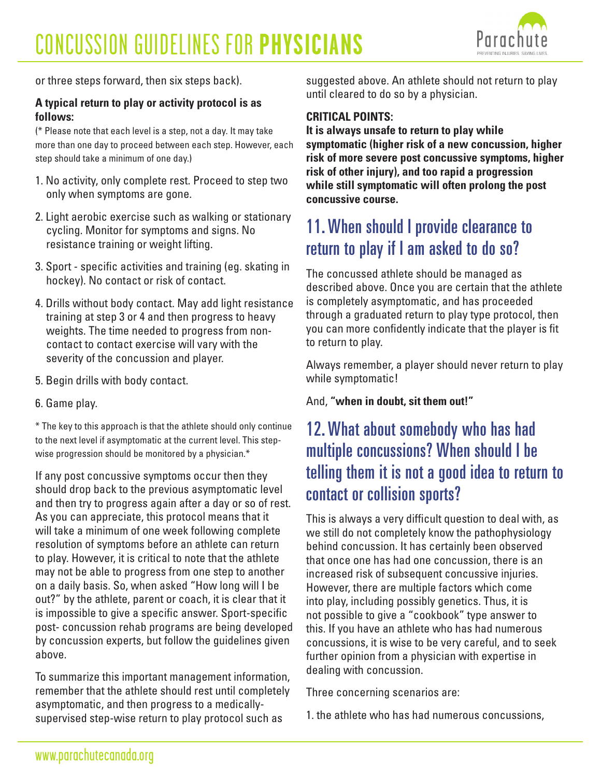

or three steps forward, then six steps back).

#### **A typical return to play or activity protocol is as follows:**

(\* Please note that each level is a step, not a day. It may take more than one day to proceed between each step. However, each step should take a minimum of one day.)

- 1. No activity, only complete rest. Proceed to step two only when symptoms are gone.
- 2. Light aerobic exercise such as walking or stationary cycling. Monitor for symptoms and signs. No resistance training or weight lifting.
- 3. Sport specific activities and training (eg. skating in hockey). No contact or risk of contact.
- 4. Drills without body contact. May add light resistance training at step 3 or 4 and then progress to heavy weights. The time needed to progress from noncontact to contact exercise will vary with the severity of the concussion and player.
- 5. Begin drills with body contact.

#### 6. Game play.

\* The key to this approach is that the athlete should only continue to the next level if asymptomatic at the current level. This stepwise progression should be monitored by a physician.\*

If any post concussive symptoms occur then they should drop back to the previous asymptomatic level and then try to progress again after a day or so of rest. As you can appreciate, this protocol means that it will take a minimum of one week following complete resolution of symptoms before an athlete can return to play. However, it is critical to note that the athlete may not be able to progress from one step to another on a daily basis. So, when asked "How long will I be out?" by the athlete, parent or coach, it is clear that it is impossible to give a specific answer. Sport-specific post- concussion rehab programs are being developed by concussion experts, but follow the guidelines given above.

To summarize this important management information, remember that the athlete should rest until completely asymptomatic, and then progress to a medicallysupervised step-wise return to play protocol such as

suggested above. An athlete should not return to play until cleared to do so by a physician.

#### **CRITICAL POINTS:**

**It is always unsafe to return to play while symptomatic (higher risk of a new concussion, higher risk of more severe post concussive symptoms, higher risk of other injury), and too rapid a progression while still symptomatic will often prolong the post concussive course.**

### 11. When should I provide clearance to return to play if I am asked to do so?

The concussed athlete should be managed as described above. Once you are certain that the athlete is completely asymptomatic, and has proceeded through a graduated return to play type protocol, then you can more confidently indicate that the player is fit to return to play.

Always remember, a player should never return to play while symptomatic!

And, **"when in doubt, sit them out!"**

## 12. What about somebody who has had multiple concussions? When should I be telling them it is not a good idea to return to contact or collision sports?

This is always a very difficult question to deal with, as we still do not completely know the pathophysiology behind concussion. It has certainly been observed that once one has had one concussion, there is an increased risk of subsequent concussive injuries. However, there are multiple factors which come into play, including possibly genetics. Thus, it is not possible to give a "cookbook" type answer to this. If you have an athlete who has had numerous concussions, it is wise to be very careful, and to seek further opinion from a physician with expertise in dealing with concussion.

Three concerning scenarios are:

1. the athlete who has had numerous concussions,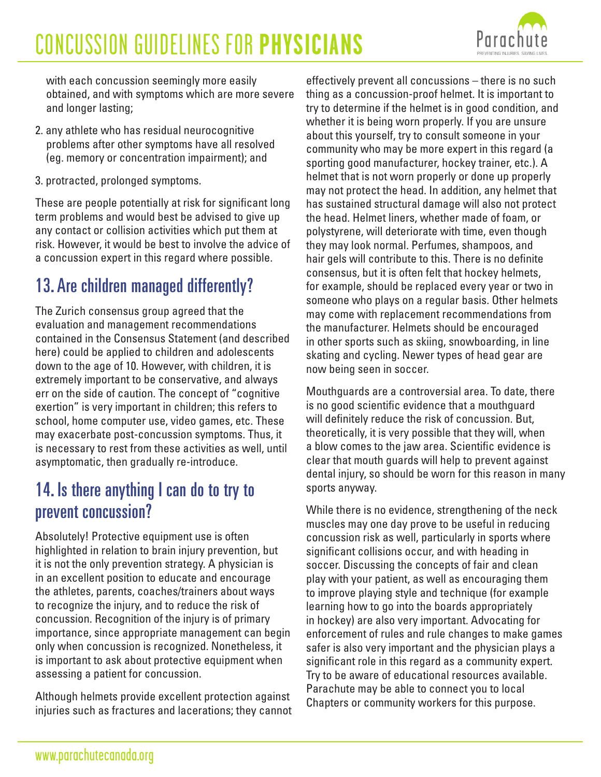

with each concussion seemingly more easily obtained, and with symptoms which are more severe and longer lasting;

- 2. any athlete who has residual neurocognitive problems after other symptoms have all resolved (eg. memory or concentration impairment); and
- 3. protracted, prolonged symptoms.

These are people potentially at risk for significant long term problems and would best be advised to give up any contact or collision activities which put them at risk. However, it would be best to involve the advice of a concussion expert in this regard where possible.

## 13. Are children managed differently?

The Zurich consensus group agreed that the evaluation and management recommendations contained in the Consensus Statement (and described here) could be applied to children and adolescents down to the age of 10. However, with children, it is extremely important to be conservative, and always err on the side of caution. The concept of "cognitive exertion" is very important in children; this refers to school, home computer use, video games, etc. These may exacerbate post-concussion symptoms. Thus, it is necessary to rest from these activities as well, until asymptomatic, then gradually re-introduce.

## 14. Is there anything I can do to try to prevent concussion?

Absolutely! Protective equipment use is often highlighted in relation to brain injury prevention, but it is not the only prevention strategy. A physician is in an excellent position to educate and encourage the athletes, parents, coaches/trainers about ways to recognize the injury, and to reduce the risk of concussion. Recognition of the injury is of primary importance, since appropriate management can begin only when concussion is recognized. Nonetheless, it is important to ask about protective equipment when assessing a patient for concussion.

Although helmets provide excellent protection against injuries such as fractures and lacerations; they cannot

effectively prevent all concussions – there is no such thing as a concussion-proof helmet. It is important to try to determine if the helmet is in good condition, and whether it is being worn properly. If you are unsure about this yourself, try to consult someone in your community who may be more expert in this regard (a sporting good manufacturer, hockey trainer, etc.). A helmet that is not worn properly or done up properly may not protect the head. In addition, any helmet that has sustained structural damage will also not protect the head. Helmet liners, whether made of foam, or polystyrene, will deteriorate with time, even though they may look normal. Perfumes, shampoos, and hair gels will contribute to this. There is no definite consensus, but it is often felt that hockey helmets, for example, should be replaced every year or two in someone who plays on a regular basis. Other helmets may come with replacement recommendations from the manufacturer. Helmets should be encouraged in other sports such as skiing, snowboarding, in line skating and cycling. Newer types of head gear are now being seen in soccer.

Mouthguards are a controversial area. To date, there is no good scientific evidence that a mouthguard will definitely reduce the risk of concussion. But, theoretically, it is very possible that they will, when a blow comes to the jaw area. Scientific evidence is clear that mouth guards will help to prevent against dental injury, so should be worn for this reason in many sports anyway.

While there is no evidence, strengthening of the neck muscles may one day prove to be useful in reducing concussion risk as well, particularly in sports where significant collisions occur, and with heading in soccer. Discussing the concepts of fair and clean play with your patient, as well as encouraging them to improve playing style and technique (for example learning how to go into the boards appropriately in hockey) are also very important. Advocating for enforcement of rules and rule changes to make games safer is also very important and the physician plays a significant role in this regard as a community expert. Try to be aware of educational resources available. Parachute may be able to connect you to local Chapters or community workers for this purpose.